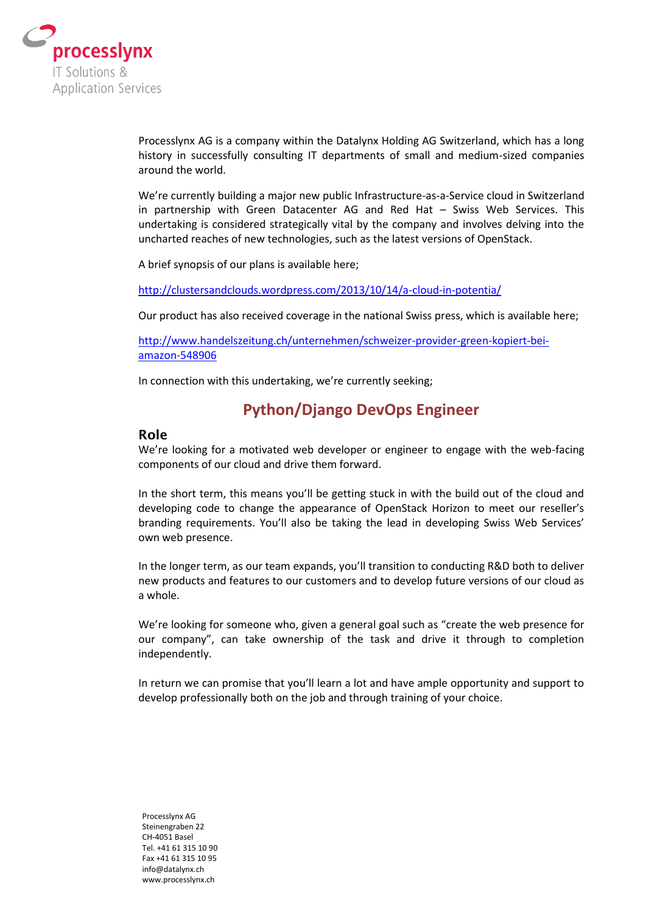

Processlynx AG is a company within the Datalynx Holding AG Switzerland, which has a long history in successfully consulting IT departments of small and medium-sized companies around the world.

We're currently building a major new public Infrastructure-as-a-Service cloud in Switzerland in partnership with Green Datacenter AG and Red Hat – Swiss Web Services. This undertaking is considered strategically vital by the company and involves delving into the uncharted reaches of new technologies, such as the latest versions of OpenStack.

A brief synopsis of our plans is available here;

<http://clustersandclouds.wordpress.com/2013/10/14/a-cloud-in-potentia/>

Our product has also received coverage in the national Swiss press, which is available here;

[http://www.handelszeitung.ch/unternehmen/schweizer-provider-green-kopiert-bei](http://www.handelszeitung.ch/unternehmen/schweizer-provider-green-kopiert-bei-amazon-548906)[amazon-548906](http://www.handelszeitung.ch/unternehmen/schweizer-provider-green-kopiert-bei-amazon-548906)

In connection with this undertaking, we're currently seeking;

# **Python/Django DevOps Engineer**

#### **Role**

We're looking for a motivated web developer or engineer to engage with the web-facing components of our cloud and drive them forward.

In the short term, this means you'll be getting stuck in with the build out of the cloud and developing code to change the appearance of OpenStack Horizon to meet our reseller's branding requirements. You'll also be taking the lead in developing Swiss Web Services' own web presence.

In the longer term, as our team expands, you'll transition to conducting R&D both to deliver new products and features to our customers and to develop future versions of our cloud as a whole.

We're looking for someone who, given a general goal such as "create the web presence for our company", can take ownership of the task and drive it through to completion independently.

In return we can promise that you'll learn a lot and have ample opportunity and support to develop professionally both on the job and through training of your choice.

Processlynx AG Steinengraben 22 CH-4051 Basel Tel. +41 61 315 10 90 Fax +41 61 315 10 95 info@datalynx.ch www.processlynx.ch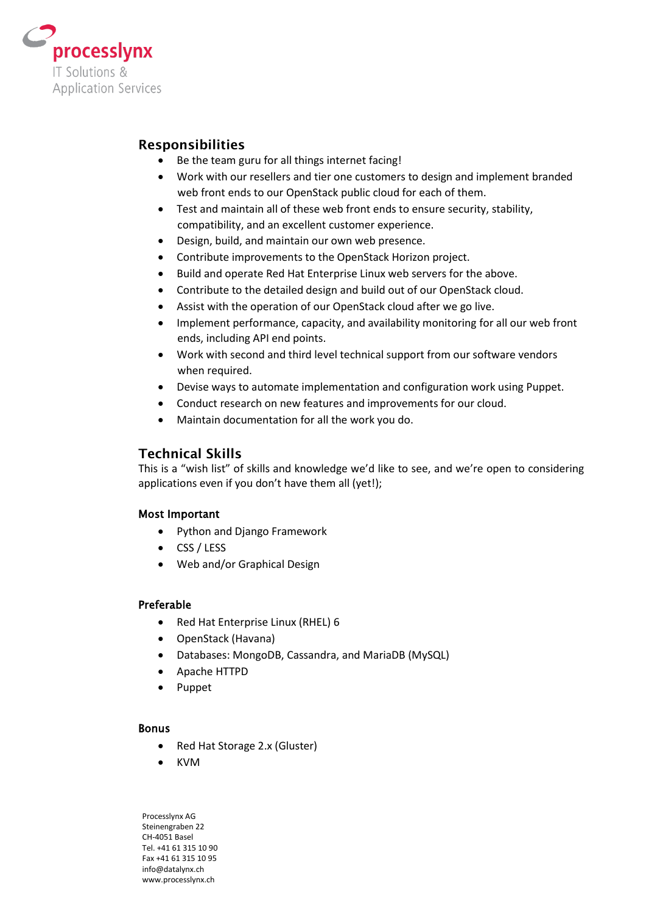

# **Responsibilities**

- Be the team guru for all things internet facing!
- Work with our resellers and tier one customers to design and implement branded web front ends to our OpenStack public cloud for each of them.
- Test and maintain all of these web front ends to ensure security, stability, compatibility, and an excellent customer experience.
- Design, build, and maintain our own web presence.
- Contribute improvements to the OpenStack Horizon project.
- Build and operate Red Hat Enterprise Linux web servers for the above.
- Contribute to the detailed design and build out of our OpenStack cloud.
- Assist with the operation of our OpenStack cloud after we go live.
- Implement performance, capacity, and availability monitoring for all our web front ends, including API end points.
- Work with second and third level technical support from our software vendors when required.
- Devise ways to automate implementation and configuration work using Puppet.
- Conduct research on new features and improvements for our cloud.
- Maintain documentation for all the work you do.

## **Technical Skills**

This is a "wish list" of skills and knowledge we'd like to see, and we're open to considering applications even if you don't have them all (yet!);

## Most Important

- Python and Django Framework
- CSS / LESS
- Web and/or Graphical Design

## Preferable

- Red Hat Enterprise Linux (RHEL) 6
- OpenStack (Havana)
- Databases: MongoDB, Cassandra, and MariaDB (MySQL)
- Apache HTTPD
- Puppet

#### Bonus

- Red Hat Storage 2.x (Gluster)
- KVM

Processlynx AG Steinengraben 22 CH-4051 Basel Tel. +41 61 315 10 90 Fax +41 61 315 10 95 info@datalynx.ch www.processlynx.ch